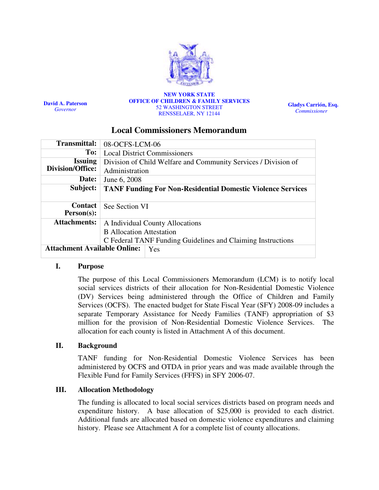

David A. Paterson **Governor** 

#### NEW YORK STATE OFFICE OF CHILDREN & FAMILY SERVICES 52 WASHINGTON STREET RENSSELAER, NY 12144

Gladys Carrión, Esq. Commissioner

# Local Commissioners Memorandum

| <b>Transmittal:</b>                 | 08-OCFS-LCM-06                                                     |  |
|-------------------------------------|--------------------------------------------------------------------|--|
| To:                                 | <b>Local District Commissioners</b>                                |  |
| <b>Issuing</b>                      | Division of Child Welfare and Community Services / Division of     |  |
| Division/Office:                    | Administration                                                     |  |
| Date:                               | June 6, 2008                                                       |  |
| Subject:                            | <b>TANF Funding For Non-Residential Domestic Violence Services</b> |  |
|                                     |                                                                    |  |
| Contact                             | See Section VI                                                     |  |
|                                     |                                                                    |  |
| $Person(s)$ :                       |                                                                    |  |
| <b>Attachments:</b>                 | A Individual County Allocations                                    |  |
|                                     | <b>B</b> Allocation Attestation                                    |  |
|                                     | C Federal TANF Funding Guidelines and Claiming Instructions        |  |
| <b>Attachment Available Online:</b> | Yes                                                                |  |

# I. Purpose

The purpose of this Local Commissioners Memorandum (LCM) is to notify local social services districts of their allocation for Non-Residential Domestic Violence (DV) Services being administered through the Office of Children and Family Services (OCFS). The enacted budget for State Fiscal Year (SFY) 2008-09 includes a separate Temporary Assistance for Needy Families (TANF) appropriation of \$3 million for the provision of Non-Residential Domestic Violence Services. The allocation for each county is listed in Attachment A of this document.

# II. Background

TANF funding for Non-Residential Domestic Violence Services has been administered by OCFS and OTDA in prior years and was made available through the Flexible Fund for Family Services (FFFS) in SFY 2006-07.

# III. Allocation Methodology

The funding is allocated to local social services districts based on program needs and expenditure history. A base allocation of \$25,000 is provided to each district. Additional funds are allocated based on domestic violence expenditures and claiming history. Please see Attachment A for a complete list of county allocations.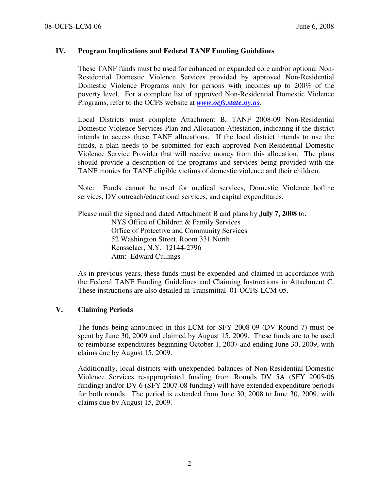# IV. Program Implications and Federal TANF Funding Guidelines

These TANF funds must be used for enhanced or expanded core and/or optional Non-Residential Domestic Violence Services provided by approved Non-Residential Domestic Violence Programs only for persons with incomes up to 200% of the poverty level. For a complete list of approved Non-Residential Domestic Violence Programs, refer to the OCFS website at  $www.ocfs. state.nv.us.$ 

Local Districts must complete Attachment B, TANF 2008-09 Non-Residential Domestic Violence Services Plan and Allocation Attestation, indicating if the district intends to access these TANF allocations. If the local district intends to use the funds, a plan needs to be submitted for each approved Non-Residential Domestic Violence Service Provider that will receive money from this allocation. The plans should provide a description of the programs and services being provided with the TANF monies for TANF eligible victims of domestic violence and their children.

Note: Funds cannot be used for medical services, Domestic Violence hotline services, DV outreach/educational services, and capital expenditures.

Please mail the signed and dated Attachment B and plans by July 7, 2008 to: NYS Office of Children & Family Services Office of Protective and Community Services 52 Washington Street, Room 331 North Rensselaer, N.Y. 12144-2796 Attn: Edward Cullings

As in previous years, these funds must be expended and claimed in accordance with the Federal TANF Funding Guidelines and Claiming Instructions in Attachment C. These instructions are also detailed in Transmittal 01-OCFS-LCM-05.

# V. Claiming Periods

The funds being announced in this LCM for SFY 2008-09 (DV Round 7) must be spent by June 30, 2009 and claimed by August 15, 2009. These funds are to be used to reimburse expenditures beginning October 1, 2007 and ending June 30, 2009, with claims due by August 15, 2009.

Additionally, local districts with unexpended balances of Non-Residential Domestic Violence Services re-appropriated funding from Rounds DV 5A (SFY 2005-06 funding) and/or DV 6 (SFY 2007-08 funding) will have extended expenditure periods for both rounds. The period is extended from June 30, 2008 to June 30, 2009, with claims due by August 15, 2009.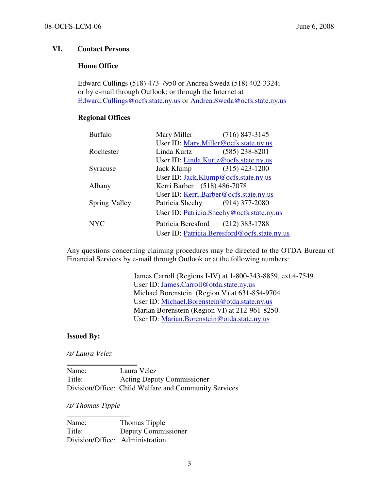# VI. Contact Persons

# Home Office

Edward Cullings (518) 473-7950 or Andrea Sweda (518) 402-3324; or by e-mail through Outlook; or through the Internet at Edward.Cullings@ocfs.state.ny.us or Andrea.Sweda@ocfs.state.ny.us

# Regional Offices

| <b>Buffalo</b> | Mary Miller                               | $(716)$ 847-3145                             |
|----------------|-------------------------------------------|----------------------------------------------|
|                | User ID: Mary.Miller@ocfs.state.ny.us     |                                              |
| Rochester      | Linda Kurtz                               | $(585)$ 238-8201                             |
|                | User ID: Linda.Kurtz@ocfs.state.ny.us     |                                              |
| Syracuse       | Jack Klump                                | $(315)$ 423-1200                             |
|                | User ID: Jack.Klump@ocfs.state.ny.us      |                                              |
| Albany         | Kerri Barber (518) 486-7078               |                                              |
|                | User ID: Kerri.Barber@ocfs.state.ny.us    |                                              |
| Spring Valley  | Patricia Sheehy (914) 377-2080            |                                              |
|                | User ID: Patricia.Sheehy@ocfs.state.ny.us |                                              |
| <b>NYC</b>     | Patricia Beresford                        | $(212)$ 383-1788                             |
|                |                                           | User ID: Patricia.Beresford@ocfs.state.ny.us |

Any questions concerning claiming procedures may be directed to the OTDA Bureau of Financial Services by e-mail through Outlook or at the following numbers:

> James Carroll (Regions I-IV) at 1-800-343-8859, ext.4-7549 User ID: James.Carroll@otda.state.ny.us Michael Borenstein (Region V) at 631-854-9704 User ID: Michael.Borenstein@otda.state.ny.us Marian Borenstein (Region VI) at 212-961-8250. User ID: Marian.Borenstein@otda.state.ny.us

# Issued By:

/s/ Laura Velez

\_\_\_\_\_\_\_\_\_\_\_\_\_\_\_\_\_\_\_

Name: Laura Velez Title: Acting Deputy Commissioner Division/Office: Child Welfare and Community Services

# /s/ Thomas Tipple

\_\_\_\_\_\_\_\_\_\_\_\_\_\_\_\_\_

Name: Thomas Tipple Title: Deputy Commissioner Division/Office: Administration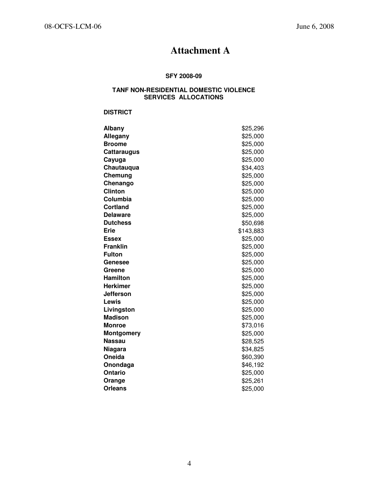# Attachment A

#### SFY 2008-09

# TANF NON-RESIDENTIAL DOMESTIC VIOLENCE SERVICES ALLOCATIONS

#### **DISTRICT**

| Albany             | \$25,296  |
|--------------------|-----------|
| Allegany           | \$25,000  |
| <b>Broome</b>      | \$25,000  |
| <b>Cattaraugus</b> | \$25,000  |
| Cayuga             | \$25,000  |
| Chautauqua         | \$34,403  |
| Chemung            | \$25,000  |
| Chenango           | \$25,000  |
| <b>Clinton</b>     | \$25,000  |
| Columbia           | \$25,000  |
| <b>Cortland</b>    | \$25,000  |
| <b>Delaware</b>    | \$25,000  |
| <b>Dutchess</b>    | \$50,698  |
| Erie               | \$143,883 |
| <b>Essex</b>       | \$25,000  |
| <b>Franklin</b>    | \$25,000  |
| <b>Fulton</b>      | \$25,000  |
| Genesee            | \$25,000  |
| Greene             | \$25,000  |
| <b>Hamilton</b>    | \$25,000  |
| Herkimer           | \$25,000  |
| Jefferson          | \$25,000  |
| Lewis              | \$25,000  |
| Livingston         | \$25,000  |
| <b>Madison</b>     | \$25,000  |
| <b>Monroe</b>      | \$73,016  |
| <b>Montgomery</b>  | \$25,000  |
| <b>Nassau</b>      | \$28,525  |
| Niagara            | \$34,825  |
| <b>Oneida</b>      | \$60,390  |
| Onondaga           | \$46,192  |
| <b>Ontario</b>     | \$25,000  |
| Orange             | \$25,261  |
| <b>Orleans</b>     | \$25,000  |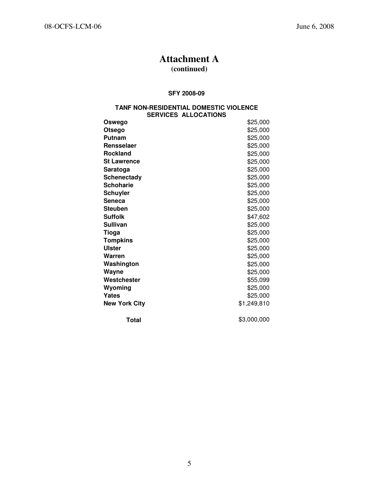# Attachment A

# (continued)

#### SFY 2008-09

#### TANF NON-RESIDENTIAL DOMESTIC VIOLENCE SERVICES ALLOCATIONS

| Oswego               | \$25,000    |
|----------------------|-------------|
| Otsego               | \$25,000    |
| Putnam               | \$25,000    |
| Rensselaer           | \$25,000    |
| <b>Rockland</b>      | \$25,000    |
| <b>St Lawrence</b>   | \$25,000    |
| Saratoga             | \$25,000    |
| <b>Schenectady</b>   | \$25,000    |
| <b>Schoharie</b>     | \$25,000    |
| <b>Schuyler</b>      | \$25,000    |
| Seneca               | \$25,000    |
| <b>Steuben</b>       | \$25,000    |
| <b>Suffolk</b>       | \$47,602    |
| <b>Sullivan</b>      | \$25,000    |
| <b>Tioga</b>         | \$25,000    |
| <b>Tompkins</b>      | \$25,000    |
| Ulster               | \$25,000    |
| Warren               | \$25,000    |
| Washington           | \$25,000    |
| Wayne                | \$25,000    |
| Westchester          | \$55,099    |
| Wyoming              | \$25,000    |
| Yates                | \$25,000    |
| <b>New York City</b> | \$1,249,810 |
| Total                | \$3,000,000 |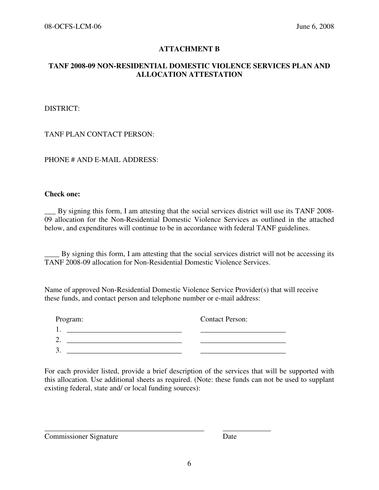# ATTACHMENT B

# TANF 2008-09 NON-RESIDENTIAL DOMESTIC VIOLENCE SERVICES PLAN AND ALLOCATION ATTESTATION

DISTRICT:

TANF PLAN CONTACT PERSON:

PHONE # AND E-MAIL ADDRESS:

#### Check one:

\_\_\_ By signing this form, I am attesting that the social services district will use its TANF 2008- 09 allocation for the Non-Residential Domestic Violence Services as outlined in the attached below, and expenditures will continue to be in accordance with federal TANF guidelines.

\_\_\_\_ By signing this form, I am attesting that the social services district will not be accessing its TANF 2008-09 allocation for Non-Residential Domestic Violence Services.

Name of approved Non-Residential Domestic Violence Service Provider(s) that will receive these funds, and contact person and telephone number or e-mail address:

| Program: | <b>Contact Person:</b> |
|----------|------------------------|
|          |                        |
| ⌒<br>ـ.  |                        |
| ⌒<br>ິ.  |                        |

\_\_\_\_\_\_\_\_\_\_\_\_\_\_\_\_\_\_\_\_\_\_\_\_\_\_\_\_\_\_\_\_\_\_\_\_\_\_\_\_\_\_\_ \_\_\_\_\_\_\_\_\_\_\_\_\_

For each provider listed, provide a brief description of the services that will be supported with this allocation. Use additional sheets as required. (Note: these funds can not be used to supplant existing federal, state and/ or local funding sources):

Commissioner Signature Date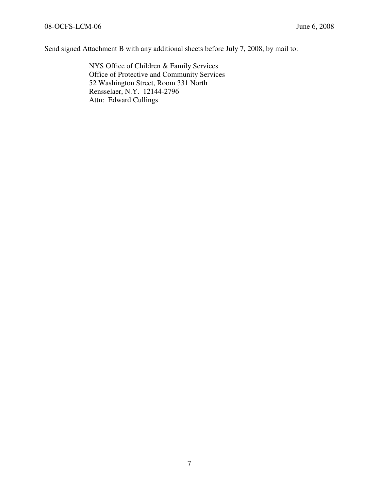Send signed Attachment B with any additional sheets before July 7, 2008, by mail to:

NYS Office of Children & Family Services Office of Protective and Community Services 52 Washington Street, Room 331 North Rensselaer, N.Y. 12144-2796 Attn: Edward Cullings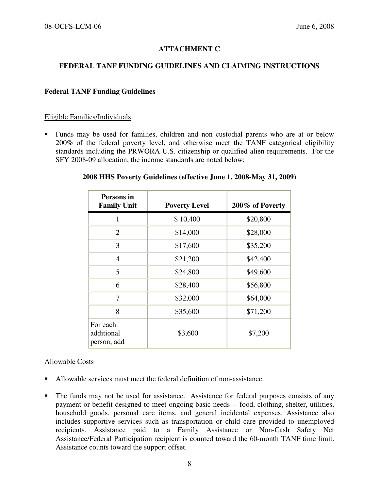# ATTACHMENT C

# FEDERAL TANF FUNDING GUIDELINES AND CLAIMING INSTRUCTIONS

# Federal TANF Funding Guidelines

### Eligible Families/Individuals

 Funds may be used for families, children and non custodial parents who are at or below 200% of the federal poverty level, and otherwise meet the TANF categorical eligibility standards including the PRWORA U.S. citizenship or qualified alien requirements. For the SFY 2008-09 allocation, the income standards are noted below:

| 2008 HHS Poverty Guidelines (effective June 1, 2008-May 31, 2009) |  |  |  |  |
|-------------------------------------------------------------------|--|--|--|--|
|-------------------------------------------------------------------|--|--|--|--|

| Persons in<br><b>Family Unit</b>      | <b>Poverty Level</b> | 200% of Poverty |
|---------------------------------------|----------------------|-----------------|
| 1                                     | \$10,400             | \$20,800        |
| $\overline{2}$                        | \$14,000             | \$28,000        |
| 3                                     | \$17,600             | \$35,200        |
| 4                                     | \$21,200             | \$42,400        |
| 5                                     | \$24,800             | \$49,600        |
| 6                                     | \$28,400             | \$56,800        |
| 7                                     | \$32,000             | \$64,000        |
| 8                                     | \$35,600             | \$71,200        |
| For each<br>additional<br>person, add | \$3,600              | \$7,200         |

# Allowable Costs

- Allowable services must meet the federal definition of non-assistance.
- The funds may not be used for assistance. Assistance for federal purposes consists of any payment or benefit designed to meet ongoing basic needs -- food, clothing, shelter, utilities, household goods, personal care items, and general incidental expenses. Assistance also includes supportive services such as transportation or child care provided to unemployed recipients. Assistance paid to a Family Assistance or Non-Cash Safety Net Assistance/Federal Participation recipient is counted toward the 60-month TANF time limit. Assistance counts toward the support offset.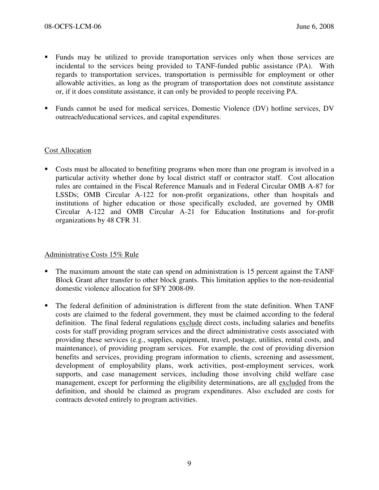- Funds may be utilized to provide transportation services only when those services are incidental to the services being provided to TANF-funded public assistance (PA). With regards to transportation services, transportation is permissible for employment or other allowable activities, as long as the program of transportation does not constitute assistance or, if it does constitute assistance, it can only be provided to people receiving PA.
- Funds cannot be used for medical services, Domestic Violence (DV) hotline services, DV outreach/educational services, and capital expenditures.

# Cost Allocation

 Costs must be allocated to benefiting programs when more than one program is involved in a particular activity whether done by local district staff or contractor staff. Cost allocation rules are contained in the Fiscal Reference Manuals and in Federal Circular OMB A-87 for LSSDs; OMB Circular A-122 for non-profit organizations, other than hospitals and institutions of higher education or those specifically excluded, are governed by OMB Circular A-122 and OMB Circular A-21 for Education Institutions and for-profit organizations by 48 CFR 31.

# Administrative Costs 15% Rule

- The maximum amount the state can spend on administration is 15 percent against the TANF Block Grant after transfer to other block grants. This limitation applies to the non-residential domestic violence allocation for SFY 2008-09.
- The federal definition of administration is different from the state definition. When TANF costs are claimed to the federal government, they must be claimed according to the federal definition. The final federal regulations exclude direct costs, including salaries and benefits costs for staff providing program services and the direct administrative costs associated with providing these services (e.g., supplies, equipment, travel, postage, utilities, rental costs, and maintenance), of providing program services. For example, the cost of providing diversion benefits and services, providing program information to clients, screening and assessment, development of employability plans, work activities, post-employment services, work supports, and case management services, including those involving child welfare case management, except for performing the eligibility determinations, are all excluded from the definition, and should be claimed as program expenditures. Also excluded are costs for contracts devoted entirely to program activities.